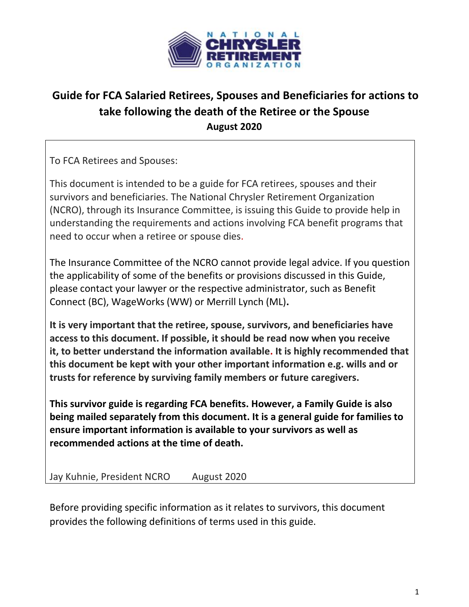

# **Guide for FCA Salaried Retirees, Spouses and Beneficiaries for actions to take following the death of the Retiree or the Spouse August 2020**

To FCA Retirees and Spouses:

This document is intended to be a guide for FCA retirees, spouses and their survivors and beneficiaries. The National Chrysler Retirement Organization (NCRO), through its Insurance Committee, is issuing this Guide to provide help in understanding the requirements and actions involving FCA benefit programs that need to occur when a retiree or spouse dies.

The Insurance Committee of the NCRO cannot provide legal advice. If you question the applicability of some of the benefits or provisions discussed in this Guide, please contact your lawyer or the respective administrator, such as Benefit Connect (BC), WageWorks (WW) or Merrill Lynch (ML)**.**

**It is very important that the retiree, spouse, survivors, and beneficiaries have access to this document. If possible, it should be read now when you receive it, to better understand the information available. It is highly recommended that this document be kept with your other important information e.g. wills and or trusts for reference by surviving family members or future caregivers.**

**This survivor guide is regarding FCA benefits. However, a Family Guide is also being mailed separately from this document. It is a general guide for families to ensure important information is available to your survivors as well as recommended actions at the time of death.**

Jay Kuhnie, President NCRO August 2020

Before providing specific information as it relates to survivors, this document provides the following definitions of terms used in this guide.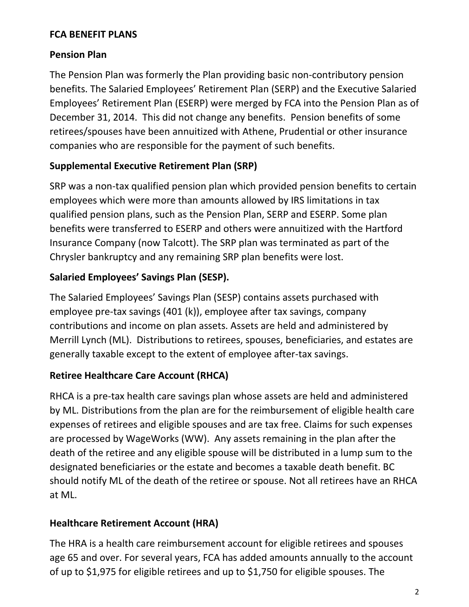### **FCA BENEFIT PLANS**

### **Pension Plan**

The Pension Plan was formerly the Plan providing basic non-contributory pension benefits. The Salaried Employees' Retirement Plan (SERP) and the Executive Salaried Employees' Retirement Plan (ESERP) were merged by FCA into the Pension Plan as of December 31, 2014. This did not change any benefits. Pension benefits of some retirees/spouses have been annuitized with Athene, Prudential or other insurance companies who are responsible for the payment of such benefits.

### **Supplemental Executive Retirement Plan (SRP)**

SRP was a non-tax qualified pension plan which provided pension benefits to certain employees which were more than amounts allowed by IRS limitations in tax qualified pension plans, such as the Pension Plan, SERP and ESERP. Some plan benefits were transferred to ESERP and others were annuitized with the Hartford Insurance Company (now Talcott). The SRP plan was terminated as part of the Chrysler bankruptcy and any remaining SRP plan benefits were lost.

# **Salaried Employees' Savings Plan (SESP).**

The Salaried Employees' Savings Plan (SESP) contains assets purchased with employee pre-tax savings (401 (k)), employee after tax savings, company contributions and income on plan assets. Assets are held and administered by Merrill Lynch (ML). Distributions to retirees, spouses, beneficiaries, and estates are generally taxable except to the extent of employee after-tax savings.

### **Retiree Healthcare Care Account (RHCA)**

RHCA is a pre-tax health care savings plan whose assets are held and administered by ML. Distributions from the plan are for the reimbursement of eligible health care expenses of retirees and eligible spouses and are tax free. Claims for such expenses are processed by WageWorks (WW). Any assets remaining in the plan after the death of the retiree and any eligible spouse will be distributed in a lump sum to the designated beneficiaries or the estate and becomes a taxable death benefit. BC should notify ML of the death of the retiree or spouse. Not all retirees have an RHCA at ML.

### **Healthcare Retirement Account (HRA)**

The HRA is a health care reimbursement account for eligible retirees and spouses age 65 and over. For several years, FCA has added amounts annually to the account of up to \$1,975 for eligible retirees and up to \$1,750 for eligible spouses. The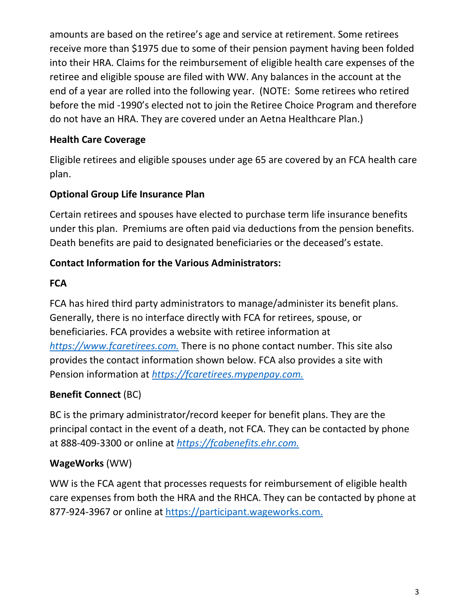amounts are based on the retiree's age and service at retirement. Some retirees receive more than \$1975 due to some of their pension payment having been folded into their HRA. Claims for the reimbursement of eligible health care expenses of the retiree and eligible spouse are filed with WW. Any balances in the account at the end of a year are rolled into the following year. (NOTE: Some retirees who retired before the mid -1990's elected not to join the Retiree Choice Program and therefore do not have an HRA. They are covered under an Aetna Healthcare Plan.)

# **Health Care Coverage**

Eligible retirees and eligible spouses under age 65 are covered by an FCA health care plan.

# **Optional Group Life Insurance Plan**

Certain retirees and spouses have elected to purchase term life insurance benefits under this plan. Premiums are often paid via deductions from the pension benefits. Death benefits are paid to designated beneficiaries or the deceased's estate.

# **Contact Information for the Various Administrators:**

### **FCA**

FCA has hired third party administrators to manage/administer its benefit plans. Generally, there is no interface directly with FCA for retirees, spouse, or beneficiaries. FCA provides a website with retiree information at *[https://www.fcaretirees.com.](https://www.fcaretirees.com/)* There is no phone contact number. This site also provides the contact information shown below. FCA also provides a site with Pension information at *[https://fcaretirees.mypenpay.com.](https://fcaretirees.mypenpay.com/)*

# **Benefit Connect** (BC)

BC is the primary administrator/record keeper for benefit plans. They are the principal contact in the event of a death, not FCA. They can be contacted by phone at 888-409-3300 or online at *[https://fcabenefits.ehr.com.](https://fcabenefits.ehr.com/)*

# **WageWorks** (WW)

WW is the FCA agent that processes requests for reimbursement of eligible health care expenses from both the HRA and the RHCA. They can be contacted by phone at 877-924-3967 or online at [https://participant.wageworks.com.](https://participant.wageworks.com/)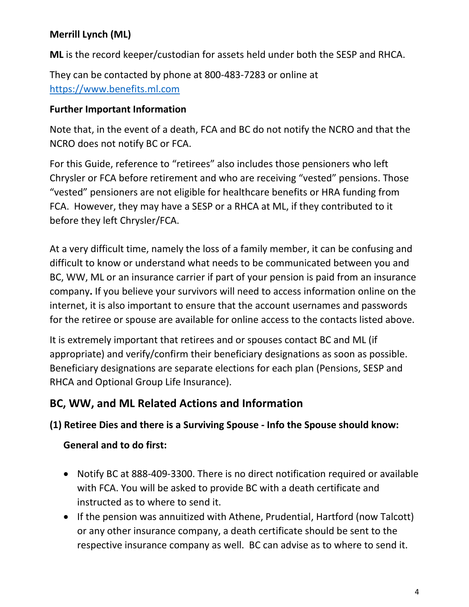# **Merrill Lynch (ML)**

**ML** is the record keeper/custodian for assets held under both the SESP and RHCA.

They can be contacted by phone at 800-483-7283 or online at [https://www.benefits.ml.com](https://www.benefits.ml.com/) 

### **Further Important Information**

Note that, in the event of a death, FCA and BC do not notify the NCRO and that the NCRO does not notify BC or FCA.

For this Guide, reference to "retirees" also includes those pensioners who left Chrysler or FCA before retirement and who are receiving "vested" pensions. Those "vested" pensioners are not eligible for healthcare benefits or HRA funding from FCA. However, they may have a SESP or a RHCA at ML, if they contributed to it before they left Chrysler/FCA.

At a very difficult time, namely the loss of a family member, it can be confusing and difficult to know or understand what needs to be communicated between you and BC, WW, ML or an insurance carrier if part of your pension is paid from an insurance company**.** If you believe your survivors will need to access information online on the internet, it is also important to ensure that the account usernames and passwords for the retiree or spouse are available for online access to the contacts listed above.

It is extremely important that retirees and or spouses contact BC and ML (if appropriate) and verify/confirm their beneficiary designations as soon as possible. Beneficiary designations are separate elections for each plan (Pensions, SESP and RHCA and Optional Group Life Insurance).

# **BC, WW, and ML Related Actions and Information**

### **(1) Retiree Dies and there is a Surviving Spouse - Info the Spouse should know:**

### **General and to do first:**

- Notify BC at 888-409-3300. There is no direct notification required or available with FCA. You will be asked to provide BC with a death certificate and instructed as to where to send it.
- If the pension was annuitized with Athene, Prudential, Hartford (now Talcott) or any other insurance company, a death certificate should be sent to the respective insurance company as well. BC can advise as to where to send it.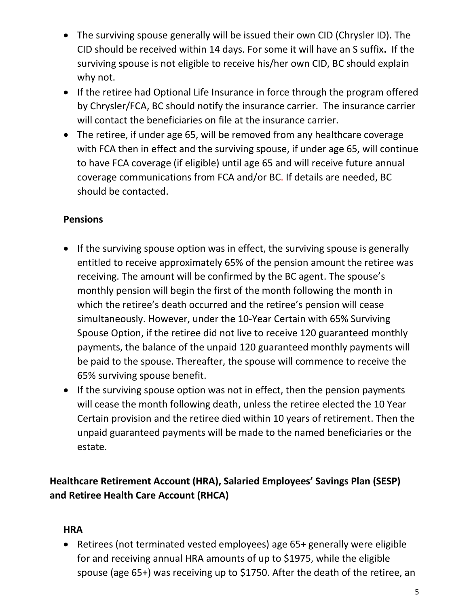- The surviving spouse generally will be issued their own CID (Chrysler ID). The CID should be received within 14 days. For some it will have an S suffix**.** If the surviving spouse is not eligible to receive his/her own CID, BC should explain why not.
- If the retiree had Optional Life Insurance in force through the program offered by Chrysler/FCA, BC should notify the insurance carrier. The insurance carrier will contact the beneficiaries on file at the insurance carrier.
- The retiree, if under age 65, will be removed from any healthcare coverage with FCA then in effect and the surviving spouse, if under age 65, will continue to have FCA coverage (if eligible) until age 65 and will receive future annual coverage communications from FCA and/or BC. If details are needed, BC should be contacted.

# **Pensions**

- If the surviving spouse option was in effect, the surviving spouse is generally entitled to receive approximately 65% of the pension amount the retiree was receiving. The amount will be confirmed by the BC agent. The spouse's monthly pension will begin the first of the month following the month in which the retiree's death occurred and the retiree's pension will cease simultaneously. However, under the 10-Year Certain with 65% Surviving Spouse Option, if the retiree did not live to receive 120 guaranteed monthly payments, the balance of the unpaid 120 guaranteed monthly payments will be paid to the spouse. Thereafter, the spouse will commence to receive the 65% surviving spouse benefit.
- If the surviving spouse option was not in effect, then the pension payments will cease the month following death, unless the retiree elected the 10 Year Certain provision and the retiree died within 10 years of retirement. Then the unpaid guaranteed payments will be made to the named beneficiaries or the estate.

**Healthcare Retirement Account (HRA), Salaried Employees' Savings Plan (SESP) and Retiree Health Care Account (RHCA)** 

#### **HRA**

• Retirees (not terminated vested employees) age 65+ generally were eligible for and receiving annual HRA amounts of up to \$1975, while the eligible spouse (age 65+) was receiving up to \$1750. After the death of the retiree, an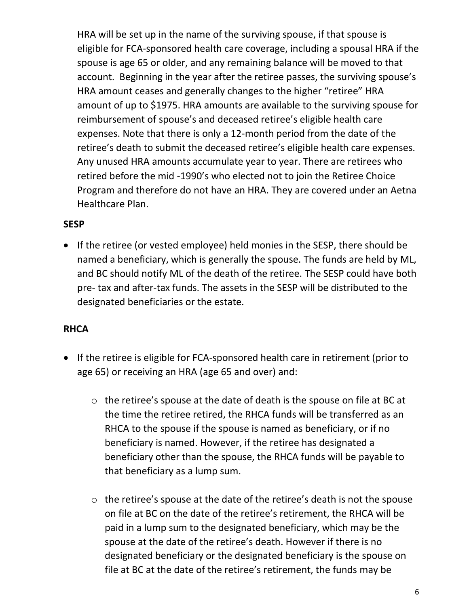HRA will be set up in the name of the surviving spouse, if that spouse is eligible for FCA-sponsored health care coverage, including a spousal HRA if the spouse is age 65 or older, and any remaining balance will be moved to that account. Beginning in the year after the retiree passes, the surviving spouse's HRA amount ceases and generally changes to the higher "retiree" HRA amount of up to \$1975. HRA amounts are available to the surviving spouse for reimbursement of spouse's and deceased retiree's eligible health care expenses. Note that there is only a 12-month period from the date of the retiree's death to submit the deceased retiree's eligible health care expenses. Any unused HRA amounts accumulate year to year. There are retirees who retired before the mid -1990's who elected not to join the Retiree Choice Program and therefore do not have an HRA. They are covered under an Aetna Healthcare Plan.

### **SESP**

• If the retiree (or vested employee) held monies in the SESP, there should be named a beneficiary, which is generally the spouse. The funds are held by ML, and BC should notify ML of the death of the retiree. The SESP could have both pre- tax and after-tax funds. The assets in the SESP will be distributed to the designated beneficiaries or the estate.

### **RHCA**

- If the retiree is eligible for FCA-sponsored health care in retirement (prior to age 65) or receiving an HRA (age 65 and over) and:
	- o the retiree's spouse at the date of death is the spouse on file at BC at the time the retiree retired, the RHCA funds will be transferred as an RHCA to the spouse if the spouse is named as beneficiary, or if no beneficiary is named. However, if the retiree has designated a beneficiary other than the spouse, the RHCA funds will be payable to that beneficiary as a lump sum.
	- o the retiree's spouse at the date of the retiree's death is not the spouse on file at BC on the date of the retiree's retirement, the RHCA will be paid in a lump sum to the designated beneficiary, which may be the spouse at the date of the retiree's death. However if there is no designated beneficiary or the designated beneficiary is the spouse on file at BC at the date of the retiree's retirement, the funds may be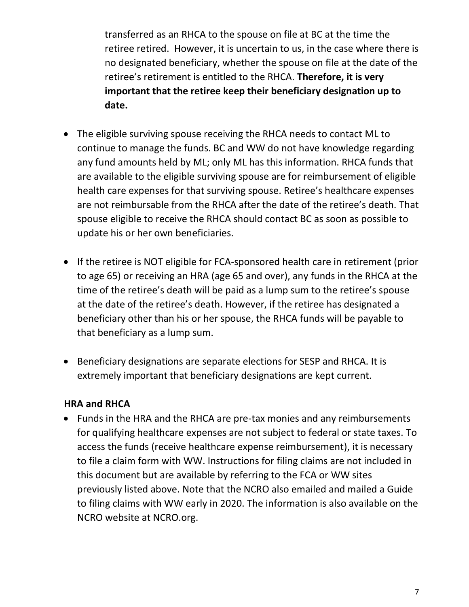transferred as an RHCA to the spouse on file at BC at the time the retiree retired. However, it is uncertain to us, in the case where there is no designated beneficiary, whether the spouse on file at the date of the retiree's retirement is entitled to the RHCA. **Therefore, it is very important that the retiree keep their beneficiary designation up to date.**

- The eligible surviving spouse receiving the RHCA needs to contact ML to continue to manage the funds. BC and WW do not have knowledge regarding any fund amounts held by ML; only ML has this information. RHCA funds that are available to the eligible surviving spouse are for reimbursement of eligible health care expenses for that surviving spouse. Retiree's healthcare expenses are not reimbursable from the RHCA after the date of the retiree's death. That spouse eligible to receive the RHCA should contact BC as soon as possible to update his or her own beneficiaries.
- If the retiree is NOT eligible for FCA-sponsored health care in retirement (prior to age 65) or receiving an HRA (age 65 and over), any funds in the RHCA at the time of the retiree's death will be paid as a lump sum to the retiree's spouse at the date of the retiree's death. However, if the retiree has designated a beneficiary other than his or her spouse, the RHCA funds will be payable to that beneficiary as a lump sum.
- Beneficiary designations are separate elections for SESP and RHCA. It is extremely important that beneficiary designations are kept current.

#### **HRA and RHCA**

• Funds in the HRA and the RHCA are pre-tax monies and any reimbursements for qualifying healthcare expenses are not subject to federal or state taxes. To access the funds (receive healthcare expense reimbursement), it is necessary to file a claim form with WW. Instructions for filing claims are not included in this document but are available by referring to the FCA or WW sites previously listed above. Note that the NCRO also emailed and mailed a Guide to filing claims with WW early in 2020. The information is also available on the NCRO website at NCRO.org.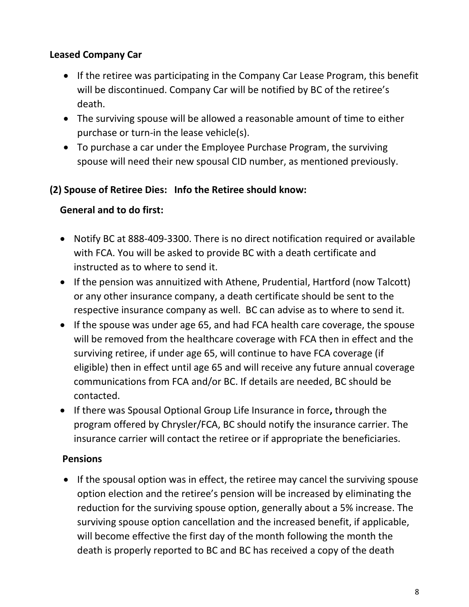#### **Leased Company Car**

- If the retiree was participating in the Company Car Lease Program, this benefit will be discontinued. Company Car will be notified by BC of the retiree's death.
- The surviving spouse will be allowed a reasonable amount of time to either purchase or turn-in the lease vehicle(s).
- To purchase a car under the Employee Purchase Program, the surviving spouse will need their new spousal CID number, as mentioned previously.

#### **(2) Spouse of Retiree Dies: Info the Retiree should know:**

#### **General and to do first:**

- Notify BC at 888-409-3300. There is no direct notification required or available with FCA. You will be asked to provide BC with a death certificate and instructed as to where to send it.
- If the pension was annuitized with Athene, Prudential, Hartford (now Talcott) or any other insurance company, a death certificate should be sent to the respective insurance company as well. BC can advise as to where to send it.
- If the spouse was under age 65, and had FCA health care coverage, the spouse will be removed from the healthcare coverage with FCA then in effect and the surviving retiree, if under age 65, will continue to have FCA coverage (if eligible) then in effect until age 65 and will receive any future annual coverage communications from FCA and/or BC. If details are needed, BC should be contacted.
- If there was Spousal Optional Group Life Insurance in force**,** through the program offered by Chrysler/FCA, BC should notify the insurance carrier. The insurance carrier will contact the retiree or if appropriate the beneficiaries.

#### **Pensions**

• If the spousal option was in effect, the retiree may cancel the surviving spouse option election and the retiree's pension will be increased by eliminating the reduction for the surviving spouse option, generally about a 5% increase. The surviving spouse option cancellation and the increased benefit, if applicable, will become effective the first day of the month following the month the death is properly reported to BC and BC has received a copy of the death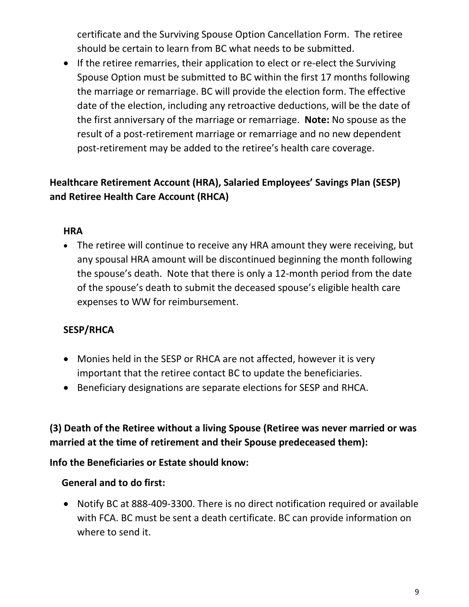certificate and the Surviving Spouse Option Cancellation Form. The retiree should be certain to learn from BC what needs to be submitted.

• If the retiree remarries, their application to elect or re-elect the Surviving Spouse Option must be submitted to BC within the first 17 months following the marriage or remarriage. BC will provide the election form. The effective date of the election, including any retroactive deductions, will be the date of the first anniversary of the marriage or remarriage. **Note:** No spouse as the result of a post-retirement marriage or remarriage and no new dependent post-retirement may be added to the retiree's health care coverage.

### **Healthcare Retirement Account (HRA), Salaried Employees' Savings Plan (SESP) and Retiree Health Care Account (RHCA)**

#### **HRA**

• The retiree will continue to receive any HRA amount they were receiving, but any spousal HRA amount will be discontinued beginning the month following the spouse's death. Note that there is only a 12-month period from the date of the spouse's death to submit the deceased spouse's eligible health care expenses to WW for reimbursement.

# **SESP/RHCA**

- Monies held in the SESP or RHCA are not affected, however it is very important that the retiree contact BC to update the beneficiaries.
- Beneficiary designations are separate elections for SESP and RHCA.

### **(3) Death of the Retiree without a living Spouse (Retiree was never married or was married at the time of retirement and their Spouse predeceased them):**

#### **Info the Beneficiaries or Estate should know:**

### **General and to do first:**

• Notify BC at 888-409-3300. There is no direct notification required or available with FCA. BC must be sent a death certificate. BC can provide information on where to send it.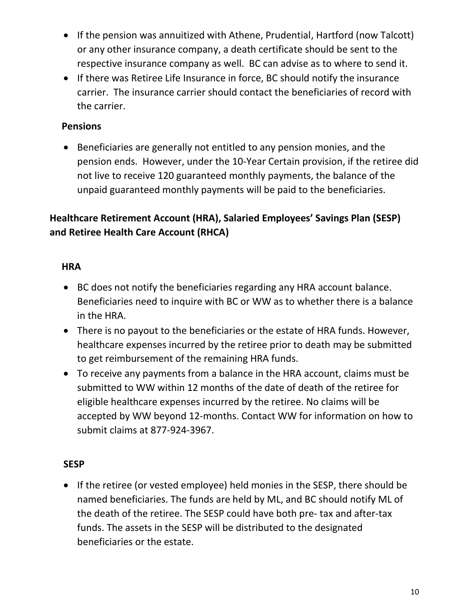- If the pension was annuitized with Athene, Prudential, Hartford (now Talcott) or any other insurance company, a death certificate should be sent to the respective insurance company as well. BC can advise as to where to send it.
- If there was Retiree Life Insurance in force, BC should notify the insurance carrier. The insurance carrier should contact the beneficiaries of record with the carrier.

### **Pensions**

• Beneficiaries are generally not entitled to any pension monies, and the pension ends. However, under the 10-Year Certain provision, if the retiree did not live to receive 120 guaranteed monthly payments, the balance of the unpaid guaranteed monthly payments will be paid to the beneficiaries.

# **Healthcare Retirement Account (HRA), Salaried Employees' Savings Plan (SESP) and Retiree Health Care Account (RHCA)**

### **HRA**

- BC does not notify the beneficiaries regarding any HRA account balance. Beneficiaries need to inquire with BC or WW as to whether there is a balance in the HRA.
- There is no payout to the beneficiaries or the estate of HRA funds. However, healthcare expenses incurred by the retiree prior to death may be submitted to get reimbursement of the remaining HRA funds.
- To receive any payments from a balance in the HRA account, claims must be submitted to WW within 12 months of the date of death of the retiree for eligible healthcare expenses incurred by the retiree. No claims will be accepted by WW beyond 12-months. Contact WW for information on how to submit claims at 877-924-3967.

#### **SESP**

• If the retiree (or vested employee) held monies in the SESP, there should be named beneficiaries. The funds are held by ML, and BC should notify ML of the death of the retiree. The SESP could have both pre- tax and after-tax funds. The assets in the SESP will be distributed to the designated beneficiaries or the estate.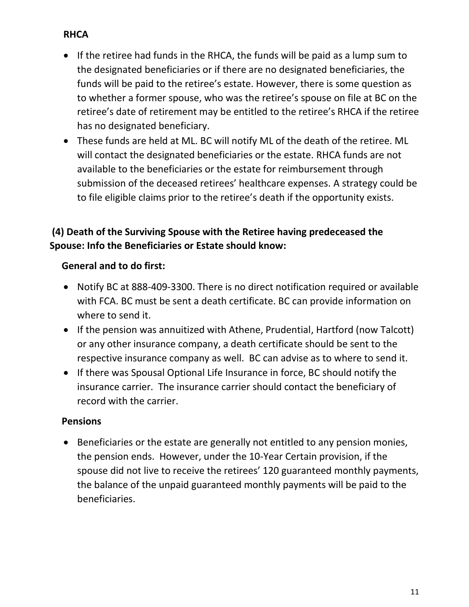# **RHCA**

- If the retiree had funds in the RHCA, the funds will be paid as a lump sum to the designated beneficiaries or if there are no designated beneficiaries, the funds will be paid to the retiree's estate. However, there is some question as to whether a former spouse, who was the retiree's spouse on file at BC on the retiree's date of retirement may be entitled to the retiree's RHCA if the retiree has no designated beneficiary.
- These funds are held at ML. BC will notify ML of the death of the retiree. ML will contact the designated beneficiaries or the estate. RHCA funds are not available to the beneficiaries or the estate for reimbursement through submission of the deceased retirees' healthcare expenses. A strategy could be to file eligible claims prior to the retiree's death if the opportunity exists.

### **(4) Death of the Surviving Spouse with the Retiree having predeceased the Spouse: Info the Beneficiaries or Estate should know:**

#### **General and to do first:**

- Notify BC at 888-409-3300. There is no direct notification required or available with FCA. BC must be sent a death certificate. BC can provide information on where to send it.
- If the pension was annuitized with Athene, Prudential, Hartford (now Talcott) or any other insurance company, a death certificate should be sent to the respective insurance company as well. BC can advise as to where to send it.
- If there was Spousal Optional Life Insurance in force, BC should notify the insurance carrier. The insurance carrier should contact the beneficiary of record with the carrier.

#### **Pensions**

• Beneficiaries or the estate are generally not entitled to any pension monies, the pension ends. However, under the 10-Year Certain provision, if the spouse did not live to receive the retirees' 120 guaranteed monthly payments, the balance of the unpaid guaranteed monthly payments will be paid to the beneficiaries.